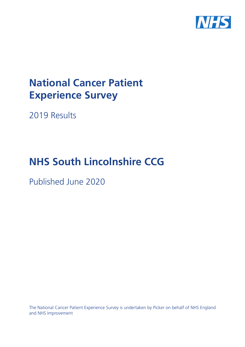

# **National Cancer Patient Experience Survey**

2019 Results

# **NHS South Lincolnshire CCG**

Published June 2020

The National Cancer Patient Experience Survey is undertaken by Picker on behalf of NHS England and NHS Improvement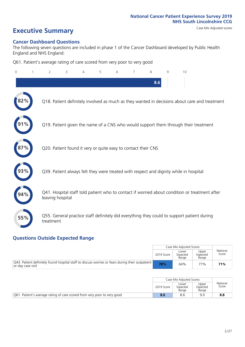# **Executive Summary** Case Mix Adjusted scores

### **Cancer Dashboard Questions**

The following seven questions are included in phase 1 of the Cancer Dashboard developed by Public Health England and NHS England:

Q61. Patient's average rating of care scored from very poor to very good

| $\Omega$ | $\overline{2}$                                                | 3 | 5 | 6 | 7 | 8   | 9 | 10                                                                                            |
|----------|---------------------------------------------------------------|---|---|---|---|-----|---|-----------------------------------------------------------------------------------------------|
|          |                                                               |   |   |   |   | 8.6 |   |                                                                                               |
| 2%       |                                                               |   |   |   |   |     |   | Q18. Patient definitely involved as much as they wanted in decisions about care and treatment |
|          |                                                               |   |   |   |   |     |   | Q19. Patient given the name of a CNS who would support them through their treatment           |
|          | Q20. Patient found it very or quite easy to contact their CNS |   |   |   |   |     |   |                                                                                               |
|          |                                                               |   |   |   |   |     |   | Q39. Patient always felt they were treated with respect and dignity while in hospital         |
| 94%      | leaving hospital                                              |   |   |   |   |     |   | Q41. Hospital staff told patient who to contact if worried about condition or treatment after |
| 55%      | treatment                                                     |   |   |   |   |     |   | Q55. General practice staff definitely did everything they could to support patient during    |

### **Questions Outside Expected Range**

|                                                                                                                       |            | Case Mix Adiusted Scores   |                            |                   |
|-----------------------------------------------------------------------------------------------------------------------|------------|----------------------------|----------------------------|-------------------|
|                                                                                                                       | 2019 Score | Lower<br>Expected<br>Range | Upper<br>Expected<br>Range | National<br>Score |
| Q43. Patient definitely found hospital staff to discuss worries or fears during their outpatient<br>or day case visit | 78%        | 64%                        | 77%                        | 71%               |

|                                                                          |            | Case Mix Adjusted Scores   |                            |                   |
|--------------------------------------------------------------------------|------------|----------------------------|----------------------------|-------------------|
|                                                                          | 2019 Score | Lower<br>Expected<br>Range | Upper<br>Expected<br>Range | National<br>Score |
| Q61. Patient's average rating of care scored from very poor to very good | 8.6        | 8.6                        | 9.0                        | 8.8               |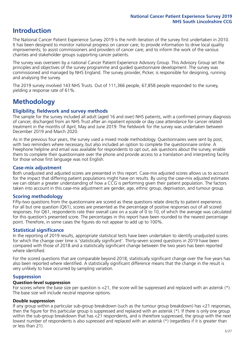## **Introduction**

The National Cancer Patient Experience Survey 2019 is the ninth iteration of the survey first undertaken in 2010. It has been designed to monitor national progress on cancer care; to provide information to drive local quality improvements; to assist commissioners and providers of cancer care; and to inform the work of the various charities and stakeholder groups supporting cancer patients.

The survey was overseen by a national Cancer Patient Experience Advisory Group. This Advisory Group set the principles and objectives of the survey programme and guided questionnaire development. The survey was commissioned and managed by NHS England. The survey provider, Picker, is responsible for designing, running and analysing the survey.

The 2019 survey involved 143 NHS Trusts. Out of 111,366 people, 67,858 people responded to the survey, yielding a response rate of 61%.

# **Methodology**

### **Eligibility, fieldwork and survey methods**

The sample for the survey included all adult (aged 16 and over) NHS patients, with a confirmed primary diagnosis of cancer, discharged from an NHS Trust after an inpatient episode or day case attendance for cancer related treatment in the months of April, May and June 2019. The fieldwork for the survey was undertaken between December 2019 and March 2020.

As in the previous four years, the survey used a mixed mode methodology. Questionnaires were sent by post, with two reminders where necessary, but also included an option to complete the questionnaire online. A Freephone helpline and email was available for respondents to opt out, ask questions about the survey, enable them to complete their questionnaire over the phone and provide access to a translation and interpreting facility for those whose first language was not English.

### **Case-mix adjustment**

Both unadjusted and adjusted scores are presented in this report. Case-mix adjusted scores allows us to account for the impact that differing patient populations might have on results. By using the case-mix adjusted estimates we can obtain a greater understanding of how a CCG is performing given their patient population. The factors taken into account in this case-mix adjustment are gender, age, ethnic group, deprivation, and tumour group.

### **Scoring methodology**

Fifty-two questions from the questionnaire are scored as these questions relate directly to patient experience. For all but one question (Q61), scores are presented as the percentage of positive responses out of all scored responses. For Q61, respondents rate their overall care on a scale of 0 to 10, of which the average was calculated for this question's presented score. The percentages in this report have been rounded to the nearest percentage point. Therefore, in some cases the figures do not appear to add up to 100%.

### **Statistical significance**

In the reporting of 2019 results, appropriate statistical tests have been undertaken to identify unadjusted scores for which the change over time is 'statistically significant'. Thirty-seven scored questions in 2019 have been compared with those of 2018 and a statistically significant change between the two years has been reported where identified.

For the scored questions that are comparable beyond 2018, statistically significant change over the five years has also been reported where identified. A statistically significant difference means that the change in the result is very unlikely to have occurred by sampling variation.

### **Suppression**

### **Question-level suppression**

For scores where the base size per question is  $<$ 21, the score will be suppressed and replaced with an asterisk (\*). The base size will include neutral response options.

### **Double suppression**

If any group within a particular sub-group breakdown (such as the tumour group breakdown) has <21 responses, then the figure for this particular group is suppressed and replaced with an asterisk (\*). If there is only one group within the sub-group breakdown that has <21 respondents, and is therefore suppressed, the group with the next lowest number of respondents is also supressed and replaced with an asterisk (\*) (regardless if it is greater than or less than 21).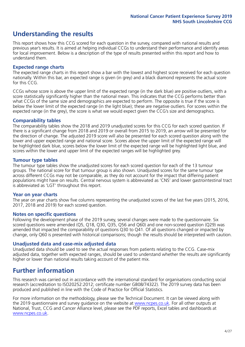# **Understanding the results**

This report shows how this CCG scored for each question in the survey, compared with national results and previous year's results. It is aimed at helping individual CCGs to understand their performance and identify areas for local improvement. Below is a description of the type of results presented within this report and how to understand them.

### **Expected range charts**

The expected range charts in this report show a bar with the lowest and highest score received for each question nationally. Within this bar, an expected range is given (in grey) and a black diamond represents the actual score for this CCG.

CCGs whose score is above the upper limit of the expected range (in the dark blue) are positive outliers, with a score statistically significantly higher than the national mean. This indicates that the CCG performs better than what CCGs of the same size and demographics are expected to perform. The opposite is true if the score is below the lower limit of the expected range (in the light blue); these are negative outliers. For scores within the expected range (in the grey), the score is what we would expect given the CCG's size and demographics.

### **Comparability tables**

The comparability tables show the 2018 and 2019 unadjusted scores for this CCG for each scored question. If there is a significant change from 2018 and 2019 or overall from 2015 to 2019, an arrow will be presented for the direction of change. The adjusted 2019 score will also be presented for each scored question along with the lower and upper expected range and national score. Scores above the upper limit of the expected range will be highlighted dark blue, scores below the lower limit of the expected range will be highlighted light blue, and scores within the lower and upper limit of the expected ranges will be highlighted grey.

### **Tumour type tables**

The tumour type tables show the unadjusted scores for each scored question for each of the 13 tumour groups. The national score for that tumour group is also shown. Unadjusted scores for the same tumour type across different CCGs may not be comparable, as they do not account for the impact that differing patient populations might have on results. Central nervous system is abbreviated as 'CNS' and lower gastrointestinal tract is abbreviated as 'LGT' throughout this report.

### **Year on year charts**

The year on year charts show five columns representing the unadjusted scores of the last five years (2015, 2016, 2017, 2018 and 2019) for each scored question.

### **Notes on specific questions**

Following the development phase of the 2019 survey, several changes were made to the questionnaire. Six scored questions were amended (Q5, Q18, Q30, Q35, Q56 and Q60) and one non-scored question (Q29) was amended that impacted the comparability of questions Q30 to Q41. Of all questions changed or impacted by change, only Q60 is presented with historical comparisons; though the results should be interpreted with caution.

### **Unadjusted data and case-mix adjusted data**

Unadjusted data should be used to see the actual responses from patients relating to the CCG. Case-mix adjusted data, together with expected ranges, should be used to understand whether the results are significantly higher or lower than national results taking account of the patient mix.

### **Further information**

This research was carried out in accordance with the international standard for organisations conducting social research (accreditation to ISO20252:2012; certificate number GB08/74322). The 2019 survey data has been produced and published in line with the Code of Practice for Official Statistics.

For more information on the methodology, please see the Technical Document. It can be viewed along with the 2019 questionnaire and survey quidance on the website at [www.ncpes.co.uk](https://www.ncpes.co.uk/supporting-documents). For all other outputs at National, Trust, CCG and Cancer Alliance level, please see the PDF reports, Excel tables and dashboards at [www.ncpes.co.uk.](https://www.ncpes.co.uk/current-results)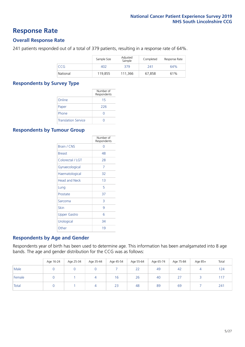### **Response Rate**

### **Overall Response Rate**

241 patients responded out of a total of 379 patients, resulting in a response rate of 64%.

|          | Sample Size | Adjusted<br>Sample | Completed | Response Rate |
|----------|-------------|--------------------|-----------|---------------|
| CCG      | 402         | 379                | 241       | 64%           |
| National | 119,855     | 111,366            | 67,858    | 61%           |

### **Respondents by Survey Type**

|                            | Number of<br>Respondents |
|----------------------------|--------------------------|
| Online                     | 15                       |
| Paper                      | 226                      |
| Phone                      | $\left( \right)$         |
| <b>Translation Service</b> |                          |

### **Respondents by Tumour Group**

|                      | Number of<br>Respondents |
|----------------------|--------------------------|
| Brain / CNS          | ∩                        |
| <b>Breast</b>        | 48                       |
| Colorectal / LGT     | 28                       |
| Gynaecological       | 7                        |
| Haematological       | 32                       |
| <b>Head and Neck</b> | 1 <sub>3</sub>           |
| Lung                 | 5                        |
| Prostate             | 37                       |
| Sarcoma              | 3                        |
| Skin                 | 9                        |
| <b>Upper Gastro</b>  | 6                        |
| Urological           | 34                       |
| Other                | 19                       |

### **Respondents by Age and Gender**

Respondents year of birth has been used to determine age. This information has been amalgamated into 8 age bands. The age and gender distribution for the CCG was as follows:

|        | Age 16-24 | Age 25-34 | Age 35-44 | Age 45-54 | Age 55-64 | Age 65-74 | Age 75-84 | Age 85+ | Total |
|--------|-----------|-----------|-----------|-----------|-----------|-----------|-----------|---------|-------|
| Male   |           |           |           |           | 22        | 49        | 42        | 4       | 124   |
| Female |           |           | 4         | 16        | 26        | 40        | 27        |         | .17   |
| Total  |           |           | 4         | 23        | 48        | 89        | 69        |         | 241   |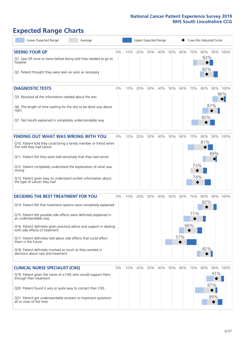# **Expected Range Charts**

| Lower Expected Range<br>Average                                                                                                                                                                                                                                                                                                                                                                                                                                                                                             |    |     |     |     | Upper Expected Range |     |            |                   | Case Mix Adjusted Score |                   |                 |
|-----------------------------------------------------------------------------------------------------------------------------------------------------------------------------------------------------------------------------------------------------------------------------------------------------------------------------------------------------------------------------------------------------------------------------------------------------------------------------------------------------------------------------|----|-----|-----|-----|----------------------|-----|------------|-------------------|-------------------------|-------------------|-----------------|
| <b>SEEING YOUR GP</b><br>Q1. Saw GP once or twice before being told they needed to go to<br>hospital<br>Q2. Patient thought they were seen as soon as necessary                                                                                                                                                                                                                                                                                                                                                             | 0% | 10% | 20% | 30% | 40%                  | 50% | 60%        | 70%               | 80%<br>83%<br>82%       |                   | 90% 100%        |
| <b>DIAGNOSTIC TESTS</b><br>O5. Received all the information needed about the test<br>Q6. The length of time waiting for the test to be done was about<br>right<br>Q7. Test results explained in completely understandable way                                                                                                                                                                                                                                                                                               | 0% | 10% | 20% | 30% | 40%                  | 50% | 60%        | 70%               | 80%<br>82%              | 87%               | 90% 100%<br>96% |
| <b>FINDING OUT WHAT WAS WRONG WITH YOU</b><br>Q10. Patient told they could bring a family member or friend when<br>first told they had cancer<br>Q11. Patient felt they were told sensitively that they had cancer<br>Q12. Patient completely understood the explanation of what was<br>wrong<br>Q13. Patient given easy to understand written information about<br>the type of cancer they had                                                                                                                             | 0% | 10% | 20% | 30% | 40%                  | 50% | 60%        | 70%<br>73%<br>74% | 80%<br>81%              | 89%               | 90% 100%        |
| <b>DECIDING THE BEST TREATMENT FOR YOU</b><br>Q14. Patient felt that treatment options were completely explained<br>Q15. Patient felt possible side effects were definitely explained in<br>an understandable way<br>Q16. Patient definitely given practical advice and support in dealing<br>with side effects of treatment<br>Q17. Patient definitely told about side effects that could affect<br>them in the future<br>Q18. Patient definitely involved as much as they wanted in<br>decisions about care and treatment | 0% | 10% | 20% | 30% | 40%                  | 50% | 60%<br>57% | 70%<br>71%<br>66% | 80%<br>82%<br>82%       |                   | 90% 100%        |
| <b>CLINICAL NURSE SPECIALIST (CNS)</b><br>Q19. Patient given the name of a CNS who would support them<br>through their treatment<br>Q20. Patient found it very or quite easy to contact their CNS<br>Q21. Patient got understandable answers to important questions<br>all or most of the time                                                                                                                                                                                                                              | 0% | 10% | 20% | 30% | 40%                  | 50% | 60%        | 70%               | 80%                     | 91%<br>87%<br>89% | 90% 100%        |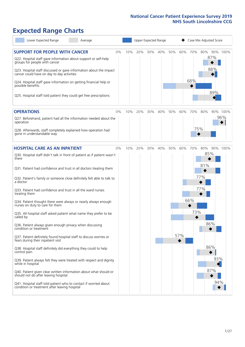# **Expected Range Charts**

| Lower Expected Range<br>Average                                                                                                                                                                                                                                                                                                    |    |     |     |     | Upper Expected Range |     |     |            | Case Mix Adjusted Score |          |
|------------------------------------------------------------------------------------------------------------------------------------------------------------------------------------------------------------------------------------------------------------------------------------------------------------------------------------|----|-----|-----|-----|----------------------|-----|-----|------------|-------------------------|----------|
| <b>SUPPORT FOR PEOPLE WITH CANCER</b><br>Q22. Hospital staff gave information about support or self-help<br>groups for people with cancer<br>Q23. Hospital staff discussed or gave information about the impact<br>cancer could have on day to day activities<br>Q24. Hospital staff gave information on getting financial help or | 0% | 10% | 20% | 30% | 40%                  | 50% | 60% | 70%<br>68% | 80%<br>87%<br>88%       | 90% 100% |
| possible benefits<br>Q25. Hospital staff told patient they could get free prescriptions                                                                                                                                                                                                                                            |    |     |     |     |                      |     |     |            | 89%                     |          |
| <b>OPERATIONS</b>                                                                                                                                                                                                                                                                                                                  | 0% | 10% | 20% | 30% | 40%                  | 50% | 60% | 70%        | 80%                     | 90% 100% |
| Q27. Beforehand, patient had all the information needed about the<br>operation                                                                                                                                                                                                                                                     |    |     |     |     |                      |     |     |            |                         | 96%      |
| Q28. Afterwards, staff completely explained how operation had<br>gone in understandable way                                                                                                                                                                                                                                        |    |     |     |     |                      |     |     | 75%        |                         |          |
| <b>HOSPITAL CARE AS AN INPATIENT</b>                                                                                                                                                                                                                                                                                               | 0% | 10% | 20% | 30% | 40%                  | 50% | 60% | 70%        | 80%                     | 90% 100% |
| Q30. Hospital staff didn't talk in front of patient as if patient wasn't<br>there                                                                                                                                                                                                                                                  |    |     |     |     |                      |     |     |            | 85%                     |          |
| Q31. Patient had confidence and trust in all doctors treating them                                                                                                                                                                                                                                                                 |    |     |     |     |                      |     |     |            | 81%                     |          |
| Q32. Patient's family or someone close definitely felt able to talk to<br>a doctor                                                                                                                                                                                                                                                 |    |     |     |     |                      |     |     |            | 77%                     |          |
| Q33. Patient had confidence and trust in all the ward nurses<br>treating them                                                                                                                                                                                                                                                      |    |     |     |     |                      |     |     |            | 77%                     |          |
| Q34. Patient thought there were always or nearly always enough<br>nurses on duty to care for them                                                                                                                                                                                                                                  |    |     |     |     |                      |     |     | 66%        |                         |          |
| Q35. All hospital staff asked patient what name they prefer to be<br>called by                                                                                                                                                                                                                                                     |    |     |     |     |                      |     |     | 73%        |                         |          |
| Q36. Patient always given enough privacy when discussing<br>condition or treatment                                                                                                                                                                                                                                                 |    |     |     |     |                      |     |     |            | 86%                     |          |
| Q37. Patient definitely found hospital staff to discuss worries or<br>fears during their inpatient visit                                                                                                                                                                                                                           |    |     |     |     |                      |     | 57% |            |                         |          |
| Q38. Hospital staff definitely did everything they could to help<br>control pain                                                                                                                                                                                                                                                   |    |     |     |     |                      |     |     |            | 86%                     |          |
| Q39. Patient always felt they were treated with respect and dignity<br>while in hospital                                                                                                                                                                                                                                           |    |     |     |     |                      |     |     |            | 93%                     |          |
| Q40. Patient given clear written information about what should or<br>should not do after leaving hospital                                                                                                                                                                                                                          |    |     |     |     |                      |     |     |            | 87%                     |          |
| Q41. Hospital staff told patient who to contact if worried about<br>condition or treatment after leaving hospital                                                                                                                                                                                                                  |    |     |     |     |                      |     |     |            | 94%                     |          |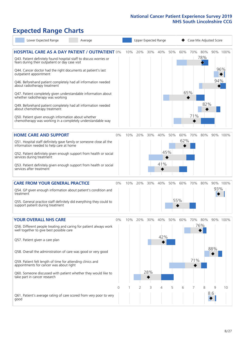# **Expected Range Charts**

| Lower Expected Range<br>Average                                                                                       |             |     |     |     | Upper Expected Range |     |     |     |         | Case Mix Adjusted Score |          |
|-----------------------------------------------------------------------------------------------------------------------|-------------|-----|-----|-----|----------------------|-----|-----|-----|---------|-------------------------|----------|
| <b>HOSPITAL CARE AS A DAY PATIENT / OUTPATIENT 0%</b>                                                                 |             | 10% | 20% | 30% | 40%                  | 50% | 60% |     | 70% 80% |                         | 90% 100% |
| Q43. Patient definitely found hospital staff to discuss worries or<br>fears during their outpatient or day case visit |             |     |     |     |                      |     |     |     | 78%     |                         |          |
| Q44. Cancer doctor had the right documents at patient's last<br>outpatient appointment                                |             |     |     |     |                      |     |     |     |         |                         | 96%      |
| Q46. Beforehand patient completely had all information needed<br>about radiotherapy treatment                         |             |     |     |     |                      |     |     |     |         | 94%                     |          |
| Q47. Patient completely given understandable information about<br>whether radiotherapy was working                    |             |     |     |     |                      |     |     | 65% |         |                         |          |
| Q49. Beforehand patient completely had all information needed<br>about chemotherapy treatment                         |             |     |     |     |                      |     |     |     | 82%     |                         |          |
| Q50. Patient given enough information about whether<br>chemotherapy was working in a completely understandable way    |             |     |     |     |                      |     |     | 71% |         |                         |          |
| <b>HOME CARE AND SUPPORT</b>                                                                                          | 0%          | 10% | 20% | 30% | 40%                  | 50% | 60% | 70% | 80%     |                         | 90% 100% |
| Q51. Hospital staff definitely gave family or someone close all the<br>information needed to help care at home        |             |     |     |     |                      |     | 62% |     |         |                         |          |
| Q52. Patient definitely given enough support from health or social<br>services during treatment                       |             |     |     |     |                      | 45% |     |     |         |                         |          |
| Q53. Patient definitely given enough support from health or social<br>services after treatment                        |             |     |     |     | 41%                  |     |     |     |         |                         |          |
| <b>CARE FROM YOUR GENERAL PRACTICE</b>                                                                                | 0%          | 10% | 20% | 30% | 40%                  | 50% | 60% | 70% | 80%     |                         | 90% 100% |
| Q54. GP given enough information about patient's condition and<br>treatment                                           |             |     |     |     |                      |     |     |     |         | 93%                     |          |
| Q55. General practice staff definitely did everything they could to<br>support patient during treatment               |             |     |     |     |                      |     | 55% |     |         |                         |          |
| YOUR OVERALL NHS CARE                                                                                                 | 0%          | 10% | 20% | 30% | 40%                  | 50% | 60% | 70% | 80%     |                         | 90% 100% |
| Q56. Different people treating and caring for patient always work<br>well together to give best possible care         |             |     |     |     |                      |     |     |     | 76%     |                         |          |
| Q57. Patient given a care plan                                                                                        |             |     |     |     | 42%                  |     |     |     |         |                         |          |
| Q58. Overall the administration of care was good or very good                                                         |             |     |     |     |                      |     |     |     |         | 88%                     |          |
| Q59. Patient felt length of time for attending clinics and<br>appointments for cancer was about right                 |             |     |     |     |                      |     |     | 71% |         |                         |          |
| Q60. Someone discussed with patient whether they would like to<br>take part in cancer research                        |             |     |     | 28% |                      |     |     |     |         |                         |          |
|                                                                                                                       | $\mathbf 0$ |     | 2   | 3   | 4                    | 5   | 6   | 7   | 8       | 9                       | 10       |
| Q61. Patient's average rating of care scored from very poor to very<br>good                                           |             |     |     |     |                      |     |     |     |         | 8.6                     |          |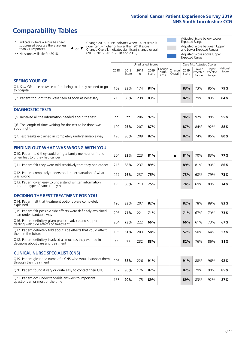# **Comparability Tables**

\* Indicates where a score has been suppressed because there are less than 21 responses.

\*\* No score available for 2018.

 $\triangle$  or  $\nabla$ 

Change 2018-2019: Indicates where 2019 score is significantly higher or lower than 2018 score Change Overall: Indicates significant change overall (2015, 2016, 2017, 2018 and 2019).

Adjusted Score below Lower Expected Range Adjusted Score between Upper and Lower Expected Ranges Adjusted Score above Upper Expected Range

|                                                                             |           |               | Unadjusted Scores |               |                                             |         |               | Case Mix Adjusted Scores |                                     |                   |
|-----------------------------------------------------------------------------|-----------|---------------|-------------------|---------------|---------------------------------------------|---------|---------------|--------------------------|-------------------------------------|-------------------|
|                                                                             | 2018<br>n | 2018<br>Score | 2019<br>n         | 2019<br>Score | $\sim$   Change   Change  <br>2018-<br>2019 | Overall | 2019<br>Score | Lower<br>Range           | Upper<br>Expected Expected<br>Range | National<br>Score |
| <b>SEEING YOUR GP</b>                                                       |           |               |                   |               |                                             |         |               |                          |                                     |                   |
| Q1. Saw GP once or twice before being told they needed to go<br>to hospital | 162       | 83%           | 174               | 84%           |                                             |         | 83%           | 73%                      | 85%                                 | 79%               |
| Q2. Patient thought they were seen as soon as necessary                     | 213       | 88%           | 238               | 83%           |                                             |         | 82%           | 79%                      | 89%                                 | 84%               |
| <b>DIAGNOSTIC TESTS</b>                                                     |           |               |                   |               |                                             |         |               |                          |                                     |                   |

| O5. Received all the information needed about the test                    | $***$ | **  | 206 | 97% |  | 96% | 92% | 98%    | 95% |
|---------------------------------------------------------------------------|-------|-----|-----|-----|--|-----|-----|--------|-----|
| Q6. The length of time waiting for the test to be done was<br>about right | 192   | 93% | 207 | 87% |  | 87% | 84% | $92\%$ | 88% |
| Q7. Test results explained in completely understandable way               | 196   | 80% | 209 | 82% |  | 82% | 74% | 85%    | 80% |

| <b>FINDING OUT WHAT WAS WRONG WITH YOU</b>                                                      |     |     |     |     |  |     |     |     |     |
|-------------------------------------------------------------------------------------------------|-----|-----|-----|-----|--|-----|-----|-----|-----|
| Q10. Patient told they could bring a family member or friend<br>when first told they had cancer | 204 | 82% | 223 | 81% |  | 81% | 70% | 83% | 77% |
| Q11. Patient felt they were told sensitively that they had cancer                               | 215 | 88% | 237 | 89% |  | 89% | 81% | 90% | 86% |
| Q12. Patient completely understood the explanation of what<br>was wrong                         | 217 | 76% | 237 | 75% |  | 73% | 68% | 79% | 73% |
| Q13. Patient given easy to understand written information<br>about the type of cancer they had  | 198 | 80% | 213 | 75% |  | 74% | 69% | 80% | 74% |

| <b>DECIDING THE BEST TREATMENT FOR YOU</b>                                                              |      |      |     |     |     |     |     |     |
|---------------------------------------------------------------------------------------------------------|------|------|-----|-----|-----|-----|-----|-----|
| Q14. Patient felt that treatment options were completely<br>explained                                   | 190  | 83%  | 207 | 82% | 82% | 78% | 89% | 83% |
| Q15. Patient felt possible side effects were definitely explained<br>In an understandable way           | 205  | 77%  | 221 | 71% | 71% | 67% | 79% | 73% |
| Q16. Patient definitely given practical advice and support in<br>dealing with side effects of treatment | 204  | 73%  | 222 | 66% | 66% | 61% | 73% | 67% |
| Q17. Patient definitely told about side effects that could affect<br>them in the future                 | 195  | 61%  | 203 | 58% | 57% | 50% | 64% | 57% |
| Q18. Patient definitely involved as much as they wanted in<br>decisions about care and treatment        | $**$ | $**$ | 232 | 83% | 82% | 76% | 86% | 81% |

| <b>CLINICAL NURSE SPECIALIST (CNS)</b>                                                    |     |     |     |     |     |     |     |     |
|-------------------------------------------------------------------------------------------|-----|-----|-----|-----|-----|-----|-----|-----|
| Q19. Patient given the name of a CNS who would support them<br>through their treatment    | 205 | 88% | 226 | 91% | 91% | 88% | 96% | 92% |
| Q20. Patient found it very or quite easy to contact their CNS                             | 157 | 90% | 176 | 87% | 87% | 79% | 90% | 85% |
| Q21. Patient got understandable answers to important<br>questions all or most of the time | 153 | 90% | 175 | 89% | 89% | 83% | 92% | 87% |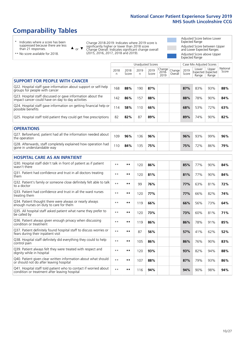# **Comparability Tables**

\* Indicates where a score has been suppressed because there are less than 21 responses.

\*\* No score available for 2018.

 $\triangle$  or  $\nabla$ 

Change 2018-2019: Indicates where 2019 score is significantly higher or lower than 2018 score Change Overall: Indicates significant change overall (2015, 2016, 2017, 2018 and 2019).

Adjusted Score below Lower Expected Range Adjusted Score between Upper and Lower Expected Ranges Adjusted Score above Upper Expected Range

|                                                                                                                   |              |               |           | <b>Unadjusted Scores</b> |                         |                   |               | Case Mix Adjusted Scores            |                |                   |
|-------------------------------------------------------------------------------------------------------------------|--------------|---------------|-----------|--------------------------|-------------------------|-------------------|---------------|-------------------------------------|----------------|-------------------|
|                                                                                                                   | 2018<br>n    | 2018<br>Score | 2019<br>n | 2019<br>Score            | Change<br>2018-<br>2019 | Change<br>Overall | 2019<br>Score | Lower<br>Expected Expected<br>Range | Upper<br>Range | National<br>Score |
| <b>SUPPORT FOR PEOPLE WITH CANCER</b>                                                                             |              |               |           |                          |                         |                   |               |                                     |                |                   |
| Q22. Hospital staff gave information about support or self-help<br>groups for people with cancer                  | 168          | 88%           | 190       | 87%                      |                         |                   | 87%           | 83%                                 | 93%            | 88%               |
| Q23. Hospital staff discussed or gave information about the<br>impact cancer could have on day to day activities  | 142          | 86%           | 157       | 88%                      |                         |                   | 88%           | 78%                                 | 90%            | 84%               |
| Q24. Hospital staff gave information on getting financial help or<br>possible benefits                            | 114          | 58%           | 110       | 66%                      |                         |                   | 68%           | 53%                                 | 72%            | 63%               |
| Q25. Hospital staff told patient they could get free prescriptions                                                | 82           | 82%           | 87        | 89%                      |                         |                   | 89%           | 74%                                 | 90%            | 82%               |
| <b>OPERATIONS</b>                                                                                                 |              |               |           |                          |                         |                   |               |                                     |                |                   |
| Q27. Beforehand, patient had all the information needed about<br>the operation                                    | 109          | 96%           | 136       | 96%                      |                         |                   | 96%           | 93%                                 | 99%            | 96%               |
| Q28. Afterwards, staff completely explained how operation had<br>gone in understandable way                       | 110          | 84%           | 135       | 75%                      |                         |                   | 75%           | 72%                                 | 86%            | 79%               |
| <b>HOSPITAL CARE AS AN INPATIENT</b>                                                                              |              |               |           |                          |                         |                   |               |                                     |                |                   |
| Q30. Hospital staff didn't talk in front of patient as if patient<br>wasn't there                                 | $**$         | **            | 120       | 86%                      |                         |                   | 85%           | 77%                                 | 90%            | 84%               |
| Q31. Patient had confidence and trust in all doctors treating<br>them                                             | $\star\star$ | **            | 120       | 81%                      |                         |                   | 81%           | 77%                                 | 90%            | 84%               |
| Q32. Patient's family or someone close definitely felt able to talk<br>to a doctor                                | $\star\star$ | **            | 99        | 76%                      |                         |                   | 77%           | 63%                                 | 81%            | 72%               |
| Q33. Patient had confidence and trust in all the ward nurses<br>treating them                                     | $\star\star$ | **            | 120       | 77%                      |                         |                   | 77%           | 66%                                 | 82%            | 74%               |
| Q34. Patient thought there were always or nearly always<br>enough nurses on duty to care for them                 | $**$         | $***$         | 119       | 66%                      |                         |                   | 66%           | 56%                                 | 73%            | 64%               |
| Q35. All hospital staff asked patient what name they prefer to<br>be called by                                    | $**$         | **            | 120       | 73%                      |                         |                   | 73%           | 60%                                 | 81%            | 71%               |
| Q36. Patient always given enough privacy when discussing<br>condition or treatment                                | $\star\star$ | **            | 119       | 86%                      |                         |                   | 86%           | 78%                                 | 91%            | 85%               |
| Q37. Patient definitely found hospital staff to discuss worries or<br>fears during their inpatient visit          | $\star\star$ | **            | 87        | 56%                      |                         |                   | 57%           | 41%                                 | 62%            | 52%               |
| Q38. Hospital staff definitely did everything they could to help<br>control pain                                  | $\star\star$ | **            | 105       | 86%                      |                         |                   | 86%           | 76%                                 | 90%            | 83%               |
| Q39. Patient always felt they were treated with respect and<br>dignity while in hospital                          | $\star\star$ | **            | 120       | 93%                      |                         |                   | 93%           | 82%                                 | 94%            | 88%               |
| Q40. Patient given clear written information about what should<br>or should not do after leaving hospital         | $**$         | **            | 107       | 88%                      |                         |                   | 87%           | 79%                                 | 93%            | 86%               |
| Q41. Hospital staff told patient who to contact if worried about<br>condition or treatment after leaving hospital | $**$         | **            | 116       | 94%                      |                         |                   | 94%           | 90%                                 | 98%            | 94%               |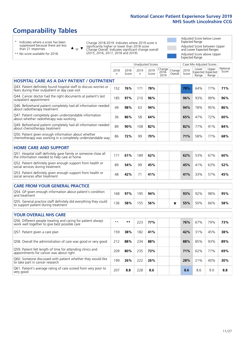# **Comparability Tables**

\* Indicates where a score has been suppressed because there are less than 21 responses.

\*\* No score available for 2018.

 $\triangle$  or  $\nabla$ 

Change 2018-2019: Indicates where 2019 score is significantly higher or lower than 2018 score Change Overall: Indicates significant change overall (2015, 2016, 2017, 2018 and 2019).

Adjusted Score below Lower Expected Range Adjusted Score between Upper and Lower Expected Ranges Adjusted Score above Upper Expected Range

|                                                                                                                       |              |               | <b>Unadjusted Scores</b> |               |                         |                         |               | Case Mix Adjusted Scores |                                     |                   |
|-----------------------------------------------------------------------------------------------------------------------|--------------|---------------|--------------------------|---------------|-------------------------|-------------------------|---------------|--------------------------|-------------------------------------|-------------------|
|                                                                                                                       | 2018<br>n    | 2018<br>Score | 2019<br>n                | 2019<br>Score | Change<br>2018-<br>2019 | Change<br>Overall       | 2019<br>Score | Lower<br>Range           | Upper<br>Expected Expected<br>Range | National<br>Score |
| <b>HOSPITAL CARE AS A DAY PATIENT / OUTPATIENT</b>                                                                    |              |               |                          |               |                         |                         |               |                          |                                     |                   |
| Q43. Patient definitely found hospital staff to discuss worries or<br>fears during their outpatient or day case visit | 152          | 76%           | 171                      | 78%           |                         |                         | 78%           | 64%                      | 77%                                 | 71%               |
| Q44. Cancer doctor had the right documents at patient's last<br>outpatient appointment                                | 185          | 97%           | 210                      | 96%           |                         |                         | 96%           | 93%                      | 99%                                 | 96%               |
| Q46. Beforehand patient completely had all information needed<br>about radiotherapy treatment                         | 49           | 98%           | 63                       | 94%           |                         |                         | 94%           | 78%                      | 95%                                 | 86%               |
| Q47. Patient completely given understandable information<br>about whether radiotherapy was working                    | 36           | 86%           | 58                       | 64%           |                         |                         | 65%           | 47%                      | 72%                                 | 60%               |
| Q49. Beforehand patient completely had all information needed<br>about chemotherapy treatment                         | 89           | 90%           | 108                      | 82%           |                         |                         | 82%           | 77%                      | 91%                                 | 84%               |
| Q50. Patient given enough information about whether<br>chemotherapy was working in a completely understandable way    | 86           | 72%           | 99                       | 70%           |                         |                         | 71%           | 58%                      | 77%                                 | 68%               |
| <b>HOME CARE AND SUPPORT</b>                                                                                          |              |               |                          |               |                         |                         |               |                          |                                     |                   |
| Q51. Hospital staff definitely gave family or someone close all<br>the information needed to help care at home        | 171          | 61%           | 189                      | 62%           |                         |                         | 62%           | 53%                      | 67%                                 | 60%               |
| Q52. Patient definitely given enough support from health or<br>social services during treatment                       | 89           | 54%           | 99                       | 45%           |                         |                         | 45%           | 41%                      | 63%                                 | 52%               |
| Q53. Patient definitely given enough support from health or<br>social services after treatment                        | 48           | 42%           | 71                       | 41%           |                         |                         | 41%           | 33%                      | 57%                                 | 45%               |
| CARE FROM YOUR GENERAL PRACTICE                                                                                       |              |               |                          |               |                         |                         |               |                          |                                     |                   |
| Q54. GP given enough information about patient's condition<br>and treatment                                           | 168          | 97%           | 195                      | 94%           |                         |                         | 93%           | 92%                      | 98%                                 | 95%               |
| Q55. General practice staff definitely did everything they could<br>to support patient during treatment               | 136          | 58%           | 155                      | 56%           |                         | $\overline{\textbf{v}}$ | 55%           | 50%                      | 66%                                 | 58%               |
| YOUR OVERALL NHS CARE                                                                                                 |              |               |                          |               |                         |                         |               |                          |                                     |                   |
| Q56. Different people treating and caring for patient always<br>work well together to give best possible care         | $\star\star$ | $***$         | 223                      | 77%           |                         |                         | 76%           | 67%                      | 79%                                 | 73%               |
| Q57. Patient given a care plan                                                                                        | 159          | 38%           | 182                      | 41%           |                         |                         | 42%           | 31%                      | 45%                                 | 38%               |
| Q58. Overall the administration of care was good or very good                                                         | 212          | 88%           | 234                      | 88%           |                         |                         | 88%           | 85%                      | 93%                                 | 89%               |
| Q59. Patient felt length of time for attending clinics and<br>appointments for cancer was about right                 | 209          | 80%           | 235                      | 73%           |                         |                         | 71%           | 62%                      | 77%                                 | 69%               |
| Q60. Someone discussed with patient whether they would like<br>to take part in cancer research                        | 199          | 26%           | 222                      | 26%           |                         |                         | 28%           | 21%                      | 40%                                 | 30%               |
| Q61. Patient's average rating of care scored from very poor to<br>very good                                           | 207          | 8.8           | 228                      | 8.6           |                         |                         | 8.6           | 8.6                      | 9.0                                 | 8.8               |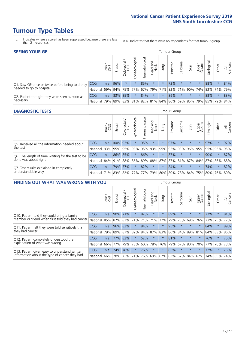- \* Indicates where a score has been suppressed because there are less than 21 responses.
- n.a. Indicates that there were no respondents for that tumour group.

| <b>SEEING YOUR GP</b>                           |            |       |               |                   |                                     |                |                  |                 | Tumour Group |         |         |                 |                                                 |         |                |
|-------------------------------------------------|------------|-------|---------------|-------------------|-------------------------------------|----------------|------------------|-----------------|--------------|---------|---------|-----------------|-------------------------------------------------|---------|----------------|
|                                                 |            | Brain | <b>Breast</b> | Colorectal<br>LGT | $\overline{\sigma}$<br>Gynaecologic | Haematological | Head and<br>Neck | <b>Dung</b>     | Prostate     | Sarcoma | Skin    | Upper<br>Gastro | Urological                                      | Other   | All<br>Cancers |
| Q1. Saw GP once or twice before being told they | <b>CCG</b> | n.a.  | 96%           |                   |                                     | 85%            | $\star$          | $^\star$        | 73%          | $\star$ | $\star$ | $\star$         | 88%                                             | $\star$ | 84%            |
| needed to go to hospital                        | National   | 59%   |               | 94% 75% 77%       |                                     |                |                  | 67% 79% 71% 82% |              |         |         |                 | 71% 90% 74% 83% 74%                             |         | 79%            |
| Q2. Patient thought they were seen as soon as   | <b>CCG</b> | n.a.  | 83% 85%       |                   | $\star$                             | 84%            | $\star$          | $\star$         | 89%          | $\star$ | $\star$ | $\star$         | 88%                                             | $\star$ | 83%            |
| necessary                                       | National   | 79%   |               |                   |                                     |                |                  |                 |              |         |         |                 | 89% 83% 81% 82% 81% 84% 86% 69% 85% 79% 85% 79% |         | 84%            |

#### **DIAGNOSTIC TESTS** Tumour Group

|                                                   |              | Brain | <b>Breast</b>               | olorectal.<br>LGT<br>Ü | $\overline{\sigma}$<br>Gynaecologic | Haematologica | Head and<br>Neck | Lung                | Prostate | Sarcoma | Skin                                        | Upper<br>Gastro | Irological  | Other   | All<br>Cancers |
|---------------------------------------------------|--------------|-------|-----------------------------|------------------------|-------------------------------------|---------------|------------------|---------------------|----------|---------|---------------------------------------------|-----------------|-------------|---------|----------------|
| Q5. Received all the information needed about     | <b>CCG</b>   | n.a.  | 100% 92%                    |                        |                                     | 95%           | $\ast$           | $\star$             | 97%      |         | $\star$                                     | $\star$         | 97%         | $\star$ | 97%            |
| the test                                          | National     | 93%   |                             | 95% 95%                |                                     |               |                  | 93% 95% 93% 95% 95% |          | 93%     | 96%                                         |                 | 95% 95% 95% |         | 95%            |
| Q6. The length of time waiting for the test to be | <b>CCG</b>   | n.a.  |                             | 86% 85%                | $\star$                             | 86%           | $\star$          | $\star$             | 87%      | $\star$ | $\star$                                     | $\star$         | 90%         | $\star$ | 87%            |
| done was about right                              | National     |       | 84% 91% 88%                 |                        |                                     |               |                  |                     |          |         | 86% 89% 88% 87% 87% 81% 87% 84% 87% 86% 88% |                 |             |         |                |
| Q7. Test results explained in completely          | <b>CCG</b>   | n.a.  |                             | 79% 77%                | $\star$                             | 82%           | $\star$          | $\star$             | 84%      | $\star$ | $\star$                                     | $\star$         | 74%         | $\star$ | 82%            |
| understandable way                                | National 71% |       | 83% 82% 77% 77% 79% 80% 80% |                        |                                     |               |                  |                     |          |         | 78% 84% 75% 80% 76% 80%                     |                 |             |         |                |

| <b>FINDING OUT WHAT WAS WRONG WITH YOU</b>        |            |        |               |                             |                |               |                        |                         | Tumour Group |         |         |                 |           |          |                |
|---------------------------------------------------|------------|--------|---------------|-----------------------------|----------------|---------------|------------------------|-------------------------|--------------|---------|---------|-----------------|-----------|----------|----------------|
|                                                   |            | Brain  | <b>Breast</b> | ╮<br>olorectal.<br>LGT<br>Û | Gynaecological | Haematologica | ad and<br>Neck<br>Head | Lung                    | Prostate     | Sarcoma | Skin    | Upper<br>Gastro | Jrologica | Other    | All<br>Cancers |
| Q10. Patient told they could bring a family       | CCG        | n.a.   | 90%           | 71%                         |                | 82%           | $\ast$                 | $\star$                 | 89%          | $\star$ | $\star$ | $\star$         | 77%       | $^\star$ | 81%            |
| member or friend when first told they had cancer  | National   | 85%    | 82%           | 82%                         | 71%            | 71%           | 71%                    | 77%                     | 79%          | 73%     | 69%     | 76%             | 73%       | 75%      | 77%            |
| Q11. Patient felt they were told sensitively that | CCG        | n.a.   | 96%           | 82%                         |                | 84%           | $\ast$                 | $\star$                 | 95%          | $\star$ | $\star$ | $\star$         | 84%       | $\star$  | 89%            |
| they had cancer                                   | National   | 79%    |               | 89% 87%                     | 82%            |               |                        | 84% 87% 83% 86%         |              | 84%     | 89%     | 81%             | 84% 83%   |          | 86%            |
| Q12. Patient completely understood the            | <b>CCG</b> | n.a.   | 77%           | 82%                         |                | 52%           | $\ast$                 | $\star$                 | 81%          | $\star$ | $\star$ | $\star$         | 76%       | $^\star$ | 75%            |
| explanation of what was wrong                     | National   | $66\%$ | 77%           | 79%                         | 73%            | 60%           | 78%                    | 76%                     | 79%          | 67%     | 80%     | 70%             | 77%       | 70%      | 73%            |
| Q13. Patient given easy to understand written     | <b>CCG</b> | n.a.   | 74%           | 78%                         |                | 76%           | $\star$                | $\star$                 | 85%          | $\star$ | $\star$ | $\star$         | 72%       | $^\star$ | 75%            |
| information about the type of cancer they had     | National I | $66\%$ | 78%           | 73%                         | 71%            |               |                        | 76% 69% 67% 83% 67% 84% |              |         |         | 67%             | 74%       | 65%      | 74%            |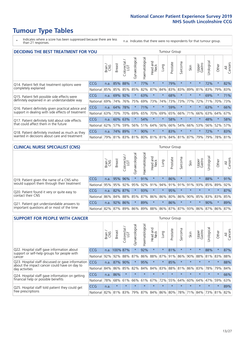\* Indicates where a score has been suppressed because there are less than 21 responses.

n.a. Indicates that there were no respondents for that tumour group.

| <b>DECIDING THE BEST TREATMENT FOR YOU</b>         |          |       |               |                             |                |                |                         |             | <b>Tumour Group</b> |          |                                     |                 |            |         |                |
|----------------------------------------------------|----------|-------|---------------|-----------------------------|----------------|----------------|-------------------------|-------------|---------------------|----------|-------------------------------------|-----------------|------------|---------|----------------|
|                                                    |          | Brain | <b>Breast</b> | olorectal.<br>LGT<br>$\cup$ | Gynaecological | Haematological | ead and<br>Neck<br>Head | <b>Lung</b> | Prostate            | Sarcoma  | Skin                                | Upper<br>Gastro | Jrological | Other   | All<br>Cancers |
| Q14. Patient felt that treatment options were      | CCG      | n.a.  | 85%           | 88%                         | $\star$        | 77%            | $\star$                 | $\star$     | 79%                 | $\star$  |                                     | $\star$         | 72%        | $\star$ | 82%            |
| completely explained                               | National | 85%   | 85%           | 85%                         | 85%            | 82%            | 87%                     | 84%         | 83%                 | 83%      | 89%                                 | 81%             | 83%        | 79%     | 83%            |
| Q15. Patient felt possible side effects were       | CCG      | n.a.  | 69%           | 92%                         | $\star$        | 63%            | $\star$                 | $\star$     | 68%                 | $\star$  |                                     | $\star$         | 69%        | $\star$ | 71%            |
| definitely explained in an understandable way      | National | 69%   | 74%           | 76%                         | 75%            | 69%            | 73%                     | 74%         | 73%                 | 73%      | 77%                                 | 72%             | 71%        | 70%     | 73%            |
| Q16. Patient definitely given practical advice and | CCG      | n.a.  | 64%           | 78%                         | $\star$        | 71%            | $\star$                 | $\star$     | 59%                 | $\star$  | $\star$                             | $\star$         | 63%        | $\star$ | 66%            |
| support in dealing with side effects of treatment  | National | 63%   | 70%           | 70%                         | 69%            | 65%            | 70%                     | 69%         | 65%                 | 66%      | 71%                                 | 66%             | 63%        | 64%     | 67%            |
| Q17. Patient definitely told about side effects    | CCG      | n.a.  | 60%           | 63%                         | $\star$        | 54%            | $\star$                 | $\star$     | 58%                 | $\star$  | $\star$                             | $\star$         | 48%        | $\star$ | 58%            |
| that could affect them in the future               | National | 62%   | 57%           | 59%                         | 56%            | 51%            | 64%                     | 56%         | 66%                 | 54%      | 66%                                 | 53%             |            | 56% 52% | 57%            |
| Q18. Patient definitely involved as much as they   | CCG      | n.a.  | 74%           | 89%                         | $\star$        | 90%            | $\star$                 | $\star$     | 83%                 | $^\star$ | $\star$                             | $\star$         | 72%        | $\star$ | 83%            |
| wanted in decisions about care and treatment       | National | 79%   |               |                             |                |                |                         |             |                     |          | 81% 83% 81% 80% 81% 81% 84% 81% 87% | 79%             | 79%        | 78% 81% |                |

#### **CLINICAL NURSE SPECIALIST (CNS)** Tumour Group

|                                             |            | Brain | Breast | Colorectal<br>LGT | ᢛ<br>Gynaecologic | Haematological | Head and<br>Neck | Lung    | Prostate | Sarcoma | Skin                        | Upper<br>Gastro | Urologica       | Other   | All<br>Cancers |
|---------------------------------------------|------------|-------|--------|-------------------|-------------------|----------------|------------------|---------|----------|---------|-----------------------------|-----------------|-----------------|---------|----------------|
| Q19. Patient given the name of a CNS who    | <b>CCG</b> | n.a.  |        | 95% 96%           |                   | 91%            | $\star$          | $\star$ | 86%      | $\star$ | $\star$                     | $\star$         | 88%             | $\star$ | 91%            |
| would support them through their treatment  | National   | 95%   | 95%    | 92%               | 95%               | 92%            | 91%              | 94% 91% |          | 91%     | 91%                         | 93%             | 85%             | 89%     | 92%            |
| Q20. Patient found it very or quite easy to | <b>CCG</b> | n.a.  |        | 82% 87%           |                   | 93%            | $\star$          | $\star$ | 95%      |         | $\star$                     | $\star$         | $\star$         | $\star$ | 87%            |
| contact their CNS                           | National   | 86%   | 84%    | 88%               | 85%               |                | 87% 86% 86%      |         | 80%      | 86%     | 90%                         | 85%             | 83% 83% 85%     |         |                |
| Q21. Patient got understandable answers to  | <b>CCG</b> | n.a.  | 92%    | 86%               | $\star$           | 89%            | $\star$          | $\star$ | 86%      | $\star$ | $\star$                     | $\star$         | 90%             | $\star$ | 89%            |
| important questions all or most of the time | National   | 82%   | 87%    | 89%               |                   |                |                  |         |          |         | 86% 89% 88% 86% 87% 87% 93% |                 | 86% 87% 86% 87% |         |                |

| <b>SUPPORT FOR PEOPLE WITH CANCER</b>                                                             |            |       |               |            |                |                |                     |         | Tumour Group |                  |         |                 |           |         |                |
|---------------------------------------------------------------------------------------------------|------------|-------|---------------|------------|----------------|----------------|---------------------|---------|--------------|------------------|---------|-----------------|-----------|---------|----------------|
|                                                                                                   |            | Brain | <b>Breast</b> | Colorectal | Gynaecological | Haematological | and<br>Neck<br>Head | Lung    | Prostate     | arcoma<br>$\sim$ | Skin    | Upper<br>Gastro | Jrologica | Other   | All<br>Cancers |
| Q22. Hospital staff gave information about<br>support or self-help groups for people with         | CCG        | n.a.  | 100% 87%      |            | $\star$        | 92%            | $\star$             | $\star$ | 81%          | $\star$          | $\star$ | $\star$         | 88%       | $\star$ | 87%            |
| cancer                                                                                            | National   | 92%   | 92%           | 88%        | 87%            | 86%            | 88%                 | 87%     | 91%          | 86%              | 90%     | 88%             | 81%       | 83%     | 88%            |
| Q23. Hospital staff discussed or gave information<br>about the impact cancer could have on day to | CCG        | n.a.  | 87%           | 90%        | $\star$        | 95%            | $\star$             | $\star$ | 85%          | $\star$          | $\star$ | $\star$         | $\star$   | $\star$ | 88%            |
| day activities                                                                                    | National   | 84%   | 86%           | 85%        | 82%            | 84%            | 84%                 | 83%     | 88%          | 81%              | 86%     | 83%             | 78%       | 79%     | 84%            |
| Q24. Hospital staff gave information on getting                                                   | <b>CCG</b> | n.a.  | 86%           | $\star$    | $\star$        | $\star$        | $\star$             | $\star$ | $\star$      | $\star$          | $\star$ | $\star$         | $\star$   | $\star$ | 66%            |
| financial help or possible benefits                                                               | National   | 78%   | 68%           | 61%        | 66%            | 61%            | 67%                 | 72%     | 55%          | 64%              | 60%     | 64%             | 47%       | 59%     | 63%            |
| Q25. Hospital staff told patient they could get                                                   | <b>CCG</b> | n.a.  | $\star$       | $\star$    |                |                | $\star$             | $\star$ | $\star$      | $\star$          |         | $\star$         | $\star$   | $\ast$  | 89%            |
| free prescriptions                                                                                | National   | 82%   | 81%           | 83%        | 79%            | 87%            | 84%                 | 86%     | 80%          | 78%              | 71%     | 84%             | 73%       | 81%     | 82%            |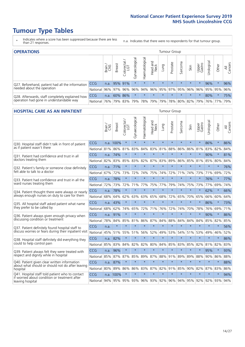- \* Indicates where a score has been suppressed because there are less than 21 responses.
- n.a. Indicates that there were no respondents for that tumour group.

| <b>OPERATIONS</b>                                |              |               |               |            |                |                |                                        |         | Tumour Group |         |         |                 |                |         |                |
|--------------------------------------------------|--------------|---------------|---------------|------------|----------------|----------------|----------------------------------------|---------|--------------|---------|---------|-----------------|----------------|---------|----------------|
|                                                  |              | Brain.<br>CNS | <b>Breast</b> | Colorectal | Gynaecological | Haematological | Head and<br>Neck                       | Dung    | Prostate     | Sarcoma | Skin    | Upper<br>Gastro | σ<br>Jrologica | Other   | All<br>Cancers |
| Q27. Beforehand, patient had all the information | <b>CCG</b>   | n.a.          |               | 95% 91%    | $\star$        | $\star$        | $\star$                                | $\star$ | $\star$      | $\star$ | $\star$ | $\star$         | 96%            | $\star$ | 96%            |
| needed about the operation                       | National I   | 96%           |               | 97% 96%    | 96%            |                | 94% 96% 95% 97% 95% 96%                |         |              |         |         | 96%             |                | 95% 95% | 96%            |
| Q28. Afterwards, staff completely explained how  | <b>CCG</b>   | n.a.          |               | 60% 86%    | $\star$        | $\star$        | $\star$                                | $\star$ | $\star$      | $\star$ | $\star$ | $\star$         | 80%            | $\star$ | 75%            |
| operation had gone in understandable way         | National 76% |               |               | 79% 83%    |                |                | 79%  78%  79%  79%  78%  80%  82%  79% |         |              |         |         |                 |                | 76% 77% | 79%            |

#### **HOSPITAL CARE AS AN INPATIENT** Tumour Group

|                                                                                                   |            | Brain | <b>Breast</b>               | $\frac{1}{2}$ Colorectal / | Gynaecological | Haematological | Head and<br>Neck | Lung    | Prostate | Sarcoma | Skin    | Upper<br>Gastro | Urological      | Other   | Cancers<br>$\overline{\overline{z}}$ |
|---------------------------------------------------------------------------------------------------|------------|-------|-----------------------------|----------------------------|----------------|----------------|------------------|---------|----------|---------|---------|-----------------|-----------------|---------|--------------------------------------|
| Q30. Hospital staff didn't talk in front of patient                                               | CCG        |       | n.a. 100%                   | $\star$                    | $\star$        | $\star$        | $\star$          | $\star$ | $\star$  | $\star$ | $\star$ | $\star$         | 86%             | $\star$ | 86%                                  |
| as if patient wasn't there                                                                        | National   | 81%   | 86%                         | 81%                        | 83%            | 84%            | 83%              | 81%     | 88%      | 86%     | 86%     | 81%             | 83%             | 82%     | 84%                                  |
| 031. Patient had confidence and trust in all<br>doctors treating them                             | CCG        | n.a.  | 74%                         | $\star$                    | $\star$        | $\star$        | $\star$          | $\star$ | $\star$  | $\star$ | $\star$ | $\star$         | 90%             | $\star$ | 81%                                  |
|                                                                                                   | National   | 82%   | 83%                         | 85%                        | 83%            | 82%            |                  | 87% 83% | 89%      | 86%     | 85%     | 81%             | 85%             | 80%     | 84%                                  |
| Q32. Patient's family or someone close definitely<br>felt able to talk to a doctor                | CCG        | n.a.  | 71%                         | $\star$                    | $\star$        | $\star$        | $\star$          | $\star$ | $\star$  | $\star$ | $\star$ | $\star$         | $\star$         | $\star$ | 76%                                  |
|                                                                                                   | National   | 67%   | 72%                         | 73%                        | 72%            | 74%            | 75%              | 74%     | 72%      | 71%     | 74%     | 73%             | 71%             | 69%     | 72%                                  |
| Q33. Patient had confidence and trust in all the<br>ward nurses treating them                     | CCG        | n.a.  | 78%                         | $\star$                    | $\star$        | $\star$        | $\star$          | $\star$ | $\star$  | $\star$ | $\star$ | $\star$         | 76%             | $\star$ | 77%                                  |
|                                                                                                   | National   | 72%   | 73%                         | 72%                        |                | 71% 77%        | 75%              | 77%     | 79%      | 74%     | 75%     | 73%             | 77%             | 69%     | 74%                                  |
| Q34. Patient thought there were always or nearly<br>always enough nurses on duty to care for them | CCG        | n.a.  | 78%                         | $\star$                    | $\star$        | $\star$        | $\star$          | $\star$ | $\star$  | $\star$ | $\star$ | $\star$         | 62%             | $\star$ | 66%                                  |
|                                                                                                   | National   | 68%   | 64%                         | 62%                        | 63%            | 63%            | 65%              | 68%     | 72%      | 65%     | 70%     | 65%             | 66%             | 60%     | 64%                                  |
| Q35. All hospital staff asked patient what name<br>they prefer to be called by                    | CCG        | n.a.  | 43%                         | $\star$                    | $\star$        | $\star$        | $\star$          | $\star$ | $\star$  | $\star$ | $\star$ | $\star$         | 86%             | $\star$ | 73%                                  |
|                                                                                                   | National   | 68%   | 62%                         | 74%                        | 65%            | 72%            |                  | 71% 76% | 72%      | 74%     | 70%     | 78%             | 76%             | 69%     | 71%                                  |
| Q36. Patient always given enough privacy when                                                     | CCG        | n.a.  | 91%                         | $\star$                    | $\star$        | $\star$        | $\star$          | $\star$ | $\star$  | $\star$ | $\star$ | $\star$         | 90%             | $\star$ | 86%                                  |
| discussing condition or treatment                                                                 | National   | 78%   | 84%                         | 85%                        | 81%            | 86%            |                  | 87% 84% | 88%      | 84%     | 84%     | 84%             | 85%             | 82%     | 85%                                  |
| Q37. Patient definitely found hospital staff to                                                   | <b>CCG</b> | n.a.  | $\star$                     | $\star$                    | $\star$        | $\star$        | $\star$          | $\star$ | $\star$  | $\star$ | $\star$ | $\star$         | $\star$         | $\star$ | 56%                                  |
| discuss worries or fears during their inpatient visit                                             | National   | 45%   | 51%                         | 55%                        | 51%            | 56%            | 52%              | 49%     | 53%      | 54%     | 51%     | 53%             | 49%             | 46%     | 52%                                  |
| Q38. Hospital staff definitely did everything they                                                | CCG        | n.a.  | 82%                         | $\star$                    | $\star$        | $\star$        | $\star$          | $\star$ | $\star$  | $\star$ | $\star$ | $\star$         | $\star$         | $\star$ | 86%                                  |
| could to help control pain                                                                        | National   | 85%   | 83%                         | 84%                        | 82%            | 82%            | 80%              | 84%     | 85%      | 83%     | 85%     | 82%             | 81%             | 82%     | 83%                                  |
| Q39. Patient always felt they were treated with                                                   | CCG        | n.a.  | 96%                         | $\star$                    | $\star$        | $\star$        | $\star$          | $\star$ | $\star$  | $\star$ | $\star$ |                 | 95%             | $\star$ | 93%                                  |
| respect and dignity while in hospital                                                             | National   | 85%   | 87%                         | 87%                        | 85%            | 89%            |                  | 87% 88% | 91%      | 89%     | 89%     | 88%             | 90%             | 86%     | 88%                                  |
| Q40. Patient given clear written information                                                      | CCG        | n.a.  | 87%                         | $\star$                    | $\star$        | $\star$        | $\star$          | $\star$ | $\star$  | $\star$ | $\star$ | $\star$         | $\star$         | $\star$ | 88%                                  |
| about what should or should not do after leaving<br>hospital                                      | National   | 80%   | 89%                         | 86%                        | 86%            | 83%            |                  | 87% 82% | 91%      | 85%     | 90%     | 82%             | 87%             | 83%     | 86%                                  |
| Q41. Hospital staff told patient who to contact<br>if worried about condition or treatment after  | CCG        |       | n.a. 100%                   | $\star$                    | $\star$        | $\star$        | $\star$          | $\star$ | $\star$  | $\star$ | $\star$ | $\star$         | $\star$         | $\star$ | 94%                                  |
| leaving hospital                                                                                  | National I |       | 94% 95% 95% 93% 96% 93% 92% |                            |                |                |                  |         | 96%      |         |         |                 | 94% 95% 92% 92% | 93%     | 94%                                  |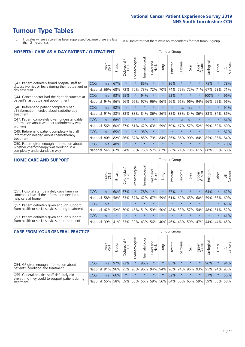- \* Indicates where a score has been suppressed because there are less than 21 responses.
- n.a. Indicates that there were no respondents for that tumour group.

| <b>HOSPITAL CARE AS A DAY PATIENT / OUTPATIENT</b>                                                                    |            |       |               |                            |                |                |                         | <b>Tumour Group</b> |          |         |         |                 |            |         |                |  |
|-----------------------------------------------------------------------------------------------------------------------|------------|-------|---------------|----------------------------|----------------|----------------|-------------------------|---------------------|----------|---------|---------|-----------------|------------|---------|----------------|--|
|                                                                                                                       |            | Brain | <b>Breast</b> | ╮<br>olorectal<br>LGT<br>Ũ | Gynaecological | Haematological | ead and<br>Neck<br>Head | Lung                | Prostate | Sarcoma | Skin    | Upper<br>Gastro | Urological | Other   | All<br>Cancers |  |
| Q43. Patient definitely found hospital staff to                                                                       | <b>CCG</b> | n.a.  | 67%           | $\star$                    | $\star$        | 85%            | $\star$                 | $\star$             | 86%      | $\star$ | $\star$ | $\star$         | 75%        | $\star$ | 78%            |  |
| discuss worries or fears during their outpatient or<br>day case visit                                                 | National   | 66%   | 68%           | 73%                        | 70%            | 73%            | 72%                     | 70%                 | 74%      | 72%     | 72%     | 71%             | 67%        | 68%     | 71%            |  |
| Q44. Cancer doctor had the right documents at<br>patient's last outpatient appointment                                | CCG        | n.a.  | 93%           | 95%                        | $\star$        | 94%            | $\star$                 | $\star$             | 93%      | $\star$ |         |                 | 100%       | $\star$ | 96%            |  |
|                                                                                                                       | National   | 94%   | 96%           | 96%                        | 96%            | 97%            | 96%                     | 96%                 | 96%      | 96%     | 96%     | 94%             | 96%        | 95%     | 96%            |  |
| Q46. Beforehand patient completely had                                                                                | <b>CCG</b> | n.a.  | 92%           | $\star$                    |                |                | $\star$                 | $\star$             | $\star$  | n.a.    | n.a.    | $\star$         | $\star$    | $\star$ | 94%            |  |
| all information needed about radiotherapy<br>treatment                                                                | National   | 91%   | 88%           | 83%                        | 88%            | 84%            | 86%                     | 86%                 | 88%      | 88%     | 84%     | 86%             | 83%        | 84%     | 86%            |  |
| Q47. Patient completely given understandable                                                                          | <b>CCG</b> | n.a.  | 68%           | $\star$                    |                |                | $\star$                 | $\star$             | $\star$  | n.a.    | n.a.    | $\star$         |            | $\star$ | 64%            |  |
| information about whether radiotherapy was<br>working                                                                 | National   | 56%   | 60%           | 57%                        | 61%            | 62%            | 63%                     | 59%                 | 60%      | 67%     | 57%     | 52%             | 59%        | 59%     | 60%            |  |
| Q49. Beforehand patient completely had all                                                                            | <b>CCG</b> | n.a.  | 65%           | $\star$                    | $\star$        | 95%            | $\star$                 | $\star$             | $\star$  | $\star$ | $\star$ | $\star$         | $\star$    | $\star$ | 82%            |  |
| information needed about chemotherapy<br>treatment                                                                    | National   | 80%   | 82%           | 86%                        | 87%            | 85%            | 79%                     | 84%                 | 86%      | 86%     | 90%     | 84%             | 85%        | 85%     | 84%            |  |
| Q50. Patient given enough information about<br>whether chemotherapy was working in a<br>completely understandable way | <b>CCG</b> | n.a.  | 48%           | $\star$                    |                |                | $\star$                 | $\star$             | $\star$  | $\star$ |         |                 |            | $\star$ | 70%            |  |
|                                                                                                                       | National   | 54%   | 62%           | 64%                        | 68%            | 75%            |                         | 57% 67%             | 66%      | 71%     | 79%     | 61%             | 68%        | 69%     | 68%            |  |

#### **HOME CARE AND SUPPORT** Tumour Group

|                                                                                                                   |            | Brain | <b>Breast</b> | Colorectal<br>LGT | ᢛ<br>Gynaecologic | Haematological | Head and<br>Neck | <b>Dung</b> | Prostate | Sarcoma | Skin    | Upper<br>Gastro | Urological  | Other   | All<br>Cancers |
|-------------------------------------------------------------------------------------------------------------------|------------|-------|---------------|-------------------|-------------------|----------------|------------------|-------------|----------|---------|---------|-----------------|-------------|---------|----------------|
| Q51. Hospital staff definitely gave family or<br>someone close all the information needed to<br>help care at home | <b>CCG</b> | n.a.  | 60% 67%       |                   |                   | 78%            | $\star$          | $\star$     | 57%      | $\star$ | $\star$ | $\star$         | 64%         | $\star$ | 62%            |
|                                                                                                                   | National   | 58%   | 58%           | 63%               |                   |                | $57\%$ 62% 67%   |             | 59% 61%  |         | 62% 65% | 60%             | 59% 55%     |         | 60%            |
| Q52. Patient definitely given enough support<br>from health or social services during treatment                   | <b>CCG</b> | n.a.  | $\star$       | $\star$           | $\star$           |                | $\star$          | $\star$     | $\star$  |         | $\star$ | $\star$         | $\star$     | $\star$ | 45%            |
|                                                                                                                   | National   | 42%   | 52%           | 60%               |                   | 45% 51%        | 59%              | 50%         | 48%      |         | 53% 57% |                 | 54% 48% 51% |         | 52%            |
| Q53. Patient definitely given enough support<br>from health or social services after treatment                    | <b>CCG</b> | n.a.  | $\star$       |                   | $\star$           |                | $\star$          | $\star$     | $\star$  | $\star$ | $\star$ | $\star$         | $\star$     | $\star$ | 41%            |
|                                                                                                                   | National l | 39%   | 41% 53%       |                   | 39%               | $ 43\% $       | 56%              | 40%         | 46%      | 48%     | 59%     | 47%             | 44%         | 44%     | 45%            |

| <b>CARE FROM YOUR GENERAL PRACTICE</b>                                                                     |              |       |               |                   |                | Tumour Group      |                  |         |                                         |         |         |                 |           |         |                |
|------------------------------------------------------------------------------------------------------------|--------------|-------|---------------|-------------------|----------------|-------------------|------------------|---------|-----------------------------------------|---------|---------|-----------------|-----------|---------|----------------|
|                                                                                                            |              | Brain | <b>Breast</b> | Colorectal<br>LGT | Gynaecological | ᅙ<br>Haematologic | Head and<br>Neck | Lung    | Prostate                                | Sarcoma | Skin    | Upper<br>Gastro | Urologica | Other   | All<br>Cancers |
| Q54. GP given enough information about<br>patient's condition and treatment                                | <b>CCG</b>   | n.a.  |               | 97% 92%           | $\star$        | 96%               | $\star$          | $\star$ | 85%                                     | $\star$ | $\star$ | $\star$         | 96%       | $\star$ | 94%            |
|                                                                                                            | National 91% |       |               | 96% 95%           | 95%            |                   |                  |         | 96% 94% 94% 96% 94% 96% 93% 95% 94% 95% |         |         |                 |           |         |                |
| Q55. General practice staff definitely did<br>everything they could to support patient during<br>treatment | <b>CCG</b>   | n.a.  | 66%           | $\star$           | $\star$        | $\star$           | $\star$          | $\star$ | 62%                                     | $\star$ | $\star$ | $\star$         | 57%       | $\star$ | 56%            |
|                                                                                                            | National     | 55%   |               | 58% 59%           | 56%            |                   | 56% 59%          |         | 56% 64% 56% 65% 59%                     |         |         |                 | 59% 55%   |         | 58%            |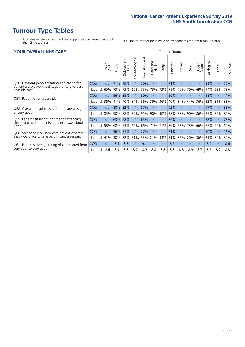- \* Indicates where a score has been suppressed because there are less than 21 responses.
- n.a. Indicates that there were no respondents for that tumour group.

#### **YOUR OVERALL NHS CARE** THE CONSTRUCTION OF THE THROUP GROUP TUMOUR GROUP

| UN V V LIVALL IVI 19 GAINL                                                                                       |            |       |               |                     |                |                |                                |          |          |                      |         |                 |               |         |                |
|------------------------------------------------------------------------------------------------------------------|------------|-------|---------------|---------------------|----------------|----------------|--------------------------------|----------|----------|----------------------|---------|-----------------|---------------|---------|----------------|
|                                                                                                                  |            | Brain | <b>Breast</b> | Colorectal /<br>LGT | Gynaecological | Haematological | <b>Bad and</b><br>Neck<br>Head | Lung     | Prostate | arcoma<br>$\sqrt{ }$ | Skin    | Upper<br>Gastro | ී<br>Urologia | Other   | All<br>Cancers |
| Q56. Different people treating and caring for<br>patient always work well together to give best<br>possible care | <b>CCG</b> | n.a.  | 71%           | 79%                 |                | 79%            | $\star$                        | $\star$  | 71%      | $\star$              | $\star$ | $\star$         | 81%           | $\ast$  | 77%            |
|                                                                                                                  | National   | 60%   | 73%           | 73%                 | 69%            | 75%            | 73%                            | 73%      | 75%      | 70%                  | 79%     | 69%             | 74%           | 68%     | 73%            |
| Q57. Patient given a care plan                                                                                   | <b>CCG</b> | n.a.  | 56%           | 35%                 |                | 30%            | $\ast$                         | $\star$  | 50%      | $\star$              | $\star$ | $\star$         | 58%           | $\ast$  | 41%            |
|                                                                                                                  | National   | 36%   | 41%           | 40%                 | 34%            | 36%            | 39%                            | 36%      | 40%      | 34%                  | 44%     | 36%             | 33%           | 31%     | 38%            |
| Q58. Overall the administration of care was good                                                                 | <b>CCG</b> | n.a.  | 80%           | 82%                 |                | 87%            | $\ast$                         | $^\star$ | 92%      | $\star$              | $\star$ |                 | 97%           | $\star$ | 88%            |
| or very good                                                                                                     | National   | 85%   | 90%           | 88%                 | 87%            | 91%            | 90%                            | 90%      | 88%      | 88%                  | 90%     | 86%             | 85%           | 87%     | 89%            |
| Q59. Patient felt length of time for attending                                                                   | <b>CCG</b> | n.a.  | 63%           | 68%                 |                | 65%            | $\star$                        | $\star$  | 86%      | $\star$              | $\ast$  | $\star$         | 88%           | $\ast$  | 73%            |
| clinics and appointments for cancer was about<br>right                                                           | National   | 58%   | 68%           | 73%                 | 66%            | 66%            | 71%                            | 71%      | 76%      | 68%                  | 73%     | 66%             | 75%           | 64%     | 69%            |
| Q60. Someone discussed with patient whether                                                                      | <b>CCG</b> | n.a.  | 36%           | 31%                 |                | 27%            | $\star$                        | $^\star$ | 21%      | $\star$              | $\star$ | $\star$         | 10%           | $\ast$  | 26%            |
| they would like to take part in cancer research                                                                  | National   | 42%   | 30%           | 32%                 | 31%            | 33%            | 21%                            | 34%      | 31%      | 36%                  | 20%     | 36%             | 21%           | 32%     | 30%            |
| Q61. Patient's average rating of care scored from<br>very poor to very good                                      | CCG        | n.a.  | 8.4           | 8.3                 | $\star$        | 9.1            | $\star$                        | $\star$  | 8.5      | $\star$              | $\star$ | $\star$         | 8.9           | $\ast$  | 8.6            |
|                                                                                                                  | National   | 8.6   | 8.9           | 8.8                 | 8.7            | 8.9            | 8.8                            | 8.8      | 8.8      | 8.8                  | 8.9     | 8.7             | 8.7           | 8.7     | 8.8            |
|                                                                                                                  |            |       |               |                     |                |                |                                |          |          |                      |         |                 |               |         |                |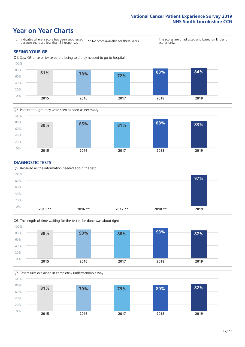### **Year on Year Charts**





#### **DIAGNOSTIC TESTS**





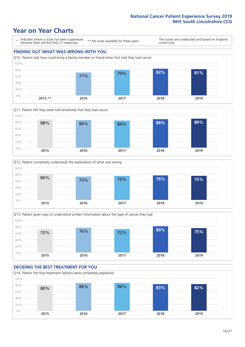







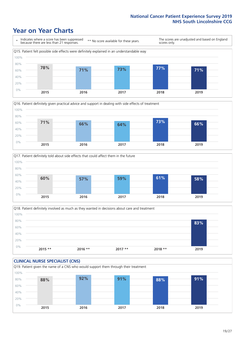







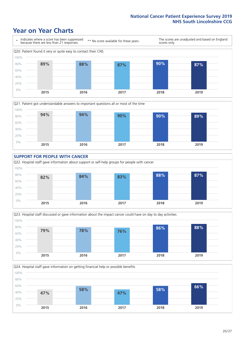







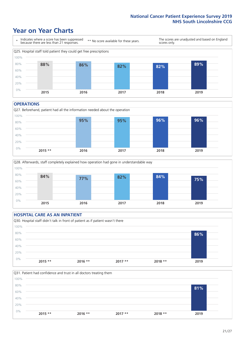### **Year on Year Charts**



#### **OPERATIONS**

Q27. Beforehand, patient had all the information needed about the operation  $0%$ 20% 40% 60% 80% 100% **2015 \*\* 2016 2017 2018 2019 95% 95% 96% 96%**





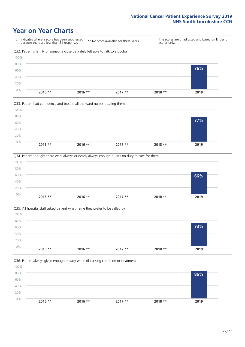







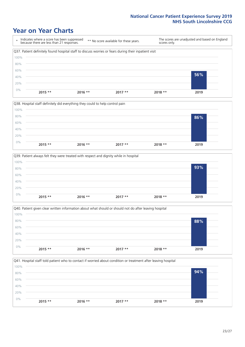







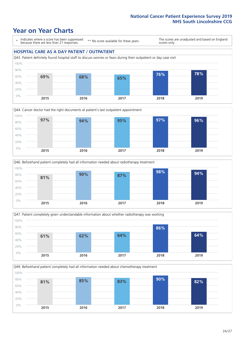### **Year on Year Charts**

\* Indicates where a score has been suppressed because there are less than 21 responses.

\*\* No score available for these years.

The scores are unadjusted and based on England scores only.

#### **HOSPITAL CARE AS A DAY PATIENT / OUTPATIENT**









Q49. Beforehand patient completely had all information needed about chemotherapy treatment 0% 20% 40% 60% 80% 100% **2015 2016 2017 2018 2019 81% 85% 83% 90% 82%**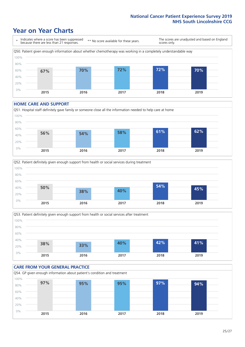### **Year on Year Charts**



#### **HOME CARE AND SUPPORT**







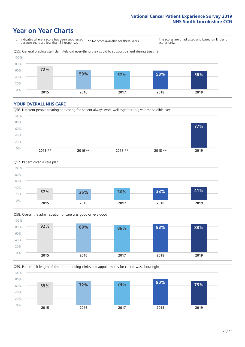### **Year on Year Charts**

\* Indicates where a score has been suppressed because there are less than 21 responses. \*\* No score available for these years. The scores are unadjusted and based on England scores only. Q55. General practice staff definitely did everything they could to support patient during treatment 0% 20% 40% 60% 80% 100% **2015 2016 2017 2018 2019 72% 59% 57% 58% 56%**

#### **YOUR OVERALL NHS CARE**







Q59. Patient felt length of time for attending clinics and appointments for cancer was about right 100%